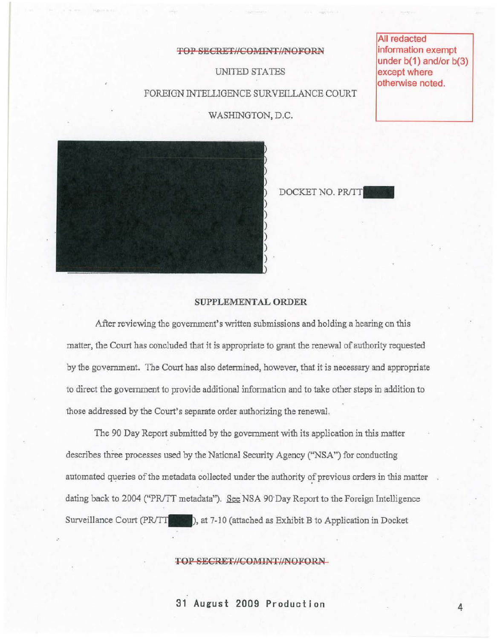# TOP SECRET//COMINT//NOFORN

UNITED STATES

FOREIGN INTELLIGENCE SURVEILLANCE COURT

WASHINGTON, D.C.

DOCKET NO. PR/TT



# SUPPLEMENTAL ORDER

After reviewing the government's written submissions and bolding a bearing on this matter, the Court has concluded that it is appropriate to grant the renewal of authority requested by tbe government. The Court has also determined, bowever, that it is necessary and appropriate to direct the government to provide additional information and to take other steps in addition to those addressed by the Court's separate order authorizing the renewal.

The 90 Day Report submitted by the government with its application in this matter describes three processes used by the National Security Agency ("NSA") for conducting automated queries of the metadata collected under the authority of previous orders in this matter dating back to 2004 ("PR/TT metadata"). See NSA 90 Day Report to the Foreign Intelligence Surveillance Court (PR/TT 3000), at 7-10 (attached as Exhibit B to Application in Docket

#### TOP SECRET//COMINT//NOFORN

31 August 2009 Production 4

All redacted information exempt under b(1) and/or b(3) except where otherwise noted.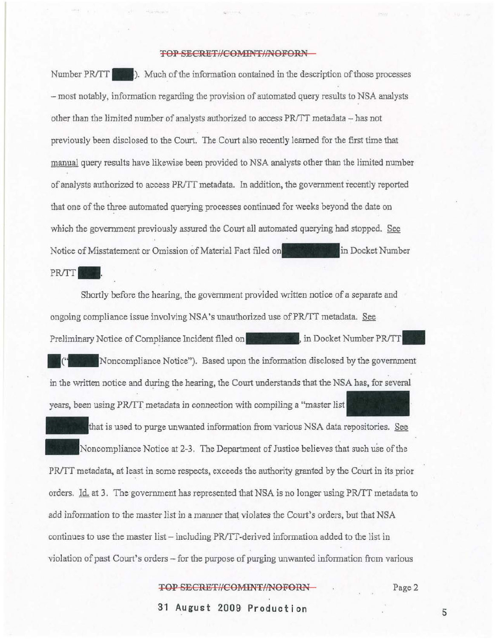# TOP SECRET//COMINT//NOFORN-

Number PR/TT  $\blacksquare$ . Much of the information contained in the description of those processes - most notably, information regarding the provision of automated query results to NSA amlysts other than the limited number of analysts authorized to access PR/TT metadata - has not previously been disclosed to the Court. The Court also recently learned for tbe first time that manual query results have likewise been provided to NSA analysts other than the limited number of analysts authorized to access PR/TT metadata. In addition, the government recently reported that one of the three automated querying processes continued for weeks beyond the date on which the government previously assured the Court all automated querying had stopped. See Notice of Misstatement or Omission of Material Fact filed on *PRITT <b>1999* in Docket Number PR/TT **1999**.

Shortly before the heming, the government provided written notice of a separate and ongoing compliance issue involving NSA's unauthorized use of PR/TT metadata. See Preliminary Notice of Compliance Incident filed on **in the state of South August** in Docket Number **PR/TT** Noncompliance Notice"). Based upon the information disclosed by the government in the written notice and during the hearing, the Court understands that the NSA has, for several years, been using PR/TT metadata in connection with compiling a "master list

that is used to purge unwanted information from various NSA data repositories. See Noncompliance Notice at 2-3. The Department of Justice believes that such use of the PR/TT metadata, at least in some respects, exceeds the authority granted by the Court in its prior orders. Id. at 3. The government has represented that NSA is no longer using PR/TT metadata to add infonnation to the master list in a manner that violates the Court's orders, but that NSA continues to use the master list - including PR/TT-derived information added to the list in violation of past Court's orders - for the purpose of purging unwanted information from various

# TOP SECRET//COMINT//NOFORN

Page 2

**31 August 200a Production** 

5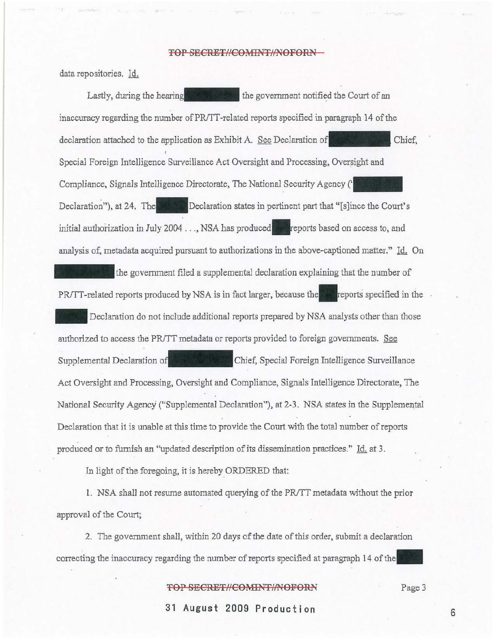#### **TOP SECRET//COMINT//NOFORN**

data repositories. Id.

Lastly, during the hearing the series the government notified the Court of an inaccuracy regarding the number of PRITT-related reports specified in paragraph 14 of the declaration attached to the application as Exhibit A. See Declaration of Chief, Special Foreign Intelligence Sun'eillance Act Oversight and Processing, Oversight and Special Foreign Intelligence Surveillance Act Oversight and Processing, Oversight and<br>Compliance, Signals Intelligence Directorate, The National Security Agency ('**Queen Security** Declaration"), at 24. The **Declaration** states in pertinent part that "[s]ince the Court's initial authorization in July 2004 . . . NSA has produced **to a** reports based on access to, and analysis of, metadata acquired pursuant to authorizations in the above-captioned matter," Id. On the government filed a supplemental declaration explaining that the number of PR/TT-related reports produced by NSA is in fact larger, because the reports specified in the Declaration do not include additional reports prepared by NSA analysts other than those authorized to access the PRJTT metadata or reports provided to foreign govemments. See Supplemental Declaration of **Chief**, Special Foreign Intelligence Surveillance Act Oversight and Processing, Oversight and Compliance, Signals Intelligence Directorate, The National Security Agency ("Supplemental Declaration"), at 2-3. NSA states in the Supplemental Declaration that it is unable at this time to provide the Court with the total number of reports produced or to furnish an "updated description of its dissemination practices." Id. at 3.

In light of the foregoing, it is hereby ORDERED that:

1. NSA shall not reswne automated querying of the *PRJTT* metadata without the prior approval of the Court;

2, The govemment shall, within 20 days of the date of this order, submit a declaration correcting the inaccuracy regarding the number of reports specified at paragraph 14 of the

### **TOP SECRET//COMINT//NOFORN**

Page 3

**31 August 2009 Production**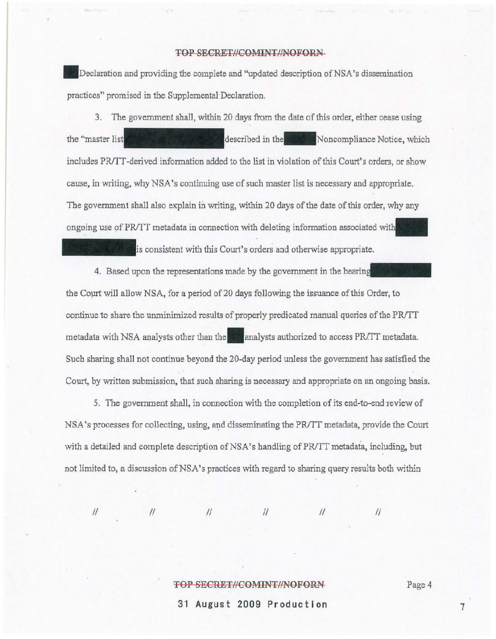# TOP SECRET/*ICOMINT/NOFORN*

Declaration and providing the complete and "updated description of NSA's dissemination practices" promised in the Supplemental Declaration.

3. The government shall, within 20 days from the date of this order, either cease using the "master list" is the state of the described in the Noncompliance Notice, which includes PR/TT-derived information added to the list in violation of this Court's orders, or show cause, in writing, why NSA's continuing use of such master list is necessary and appropriate. The government shall also explain in writing, within 20 days of the date of this order, why any ongoing use of PR/TT metadata in connection with deleting information associated with

is consistent with this Court's orders and otherwise appropriate.

4. Based upon the representations made by the government in the hearing the Court will allow NSA, for a period of 20 days following the issuance of this Order, to continue to share the unminimized results of properly predicated manual queries of the PR/TT metadata with NSA analysts other than the analysts authorized to access PR/TT metadata. Such sharing shall not continue beyond the 20-day period unless the government has satisfied the Court, by written submission, that such sharing is necessary and appropriate on an ongoing basis.

5. The government shall, in connection with the completion of its end-to-endreview of NSA's processes for collecting, using, and disseminating the PR/TT metadata, provide the Court with a detailed and complete description of NSA's handling of PR/TT metadata, including, but not limited to, a discussion of NSA's practices with regard to sharing query results both within

II /I /I /I /I

 $\frac{1}{2}$ 

#### TOP SECRET//COMINT//NOFORN-

Page 4

**31 August 2009 Production** 

7